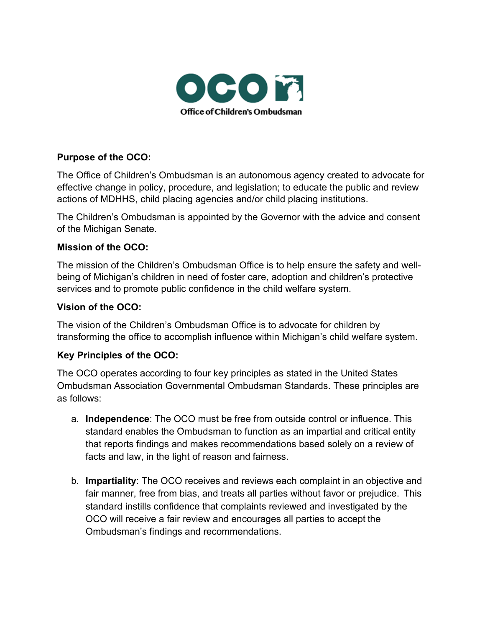

### **Purpose of the OCO:**

The Office of Children's Ombudsman is an autonomous agency created to advocate for effective change in policy, procedure, and legislation; to educate the public and review actions of MDHHS, child placing agencies and/or child placing institutions.

The Children's Ombudsman is appointed by the Governor with the advice and consent of the Michigan Senate.

### **Mission of the OCO:**

The mission of the Children's Ombudsman Office is to help ensure the safety and wellbeing of Michigan's children in need of foster care, adoption and children's protective services and to promote public confidence in the child welfare system.

### **Vision of the OCO:**

The vision of the Children's Ombudsman Office is to advocate for children by transforming the office to accomplish influence within Michigan's child welfare system.

### **Key Principles of the OCO:**

The OCO operates according to four key principles as stated in the United States Ombudsman Association Governmental Ombudsman Standards. These principles are as follows:

- a. **Independence**: The OCO must be free from outside control or influence. This standard enables the Ombudsman to function as an impartial and critical entity that reports findings and makes recommendations based solely on a review of facts and law, in the light of reason and fairness.
- b. **Impartiality**: The OCO receives and reviews each complaint in an objective and fair manner, free from bias, and treats all parties without favor or prejudice. This standard instills confidence that complaints reviewed and investigated by the OCO will receive a fair review and encourages all parties to accept the Ombudsman's findings and recommendations.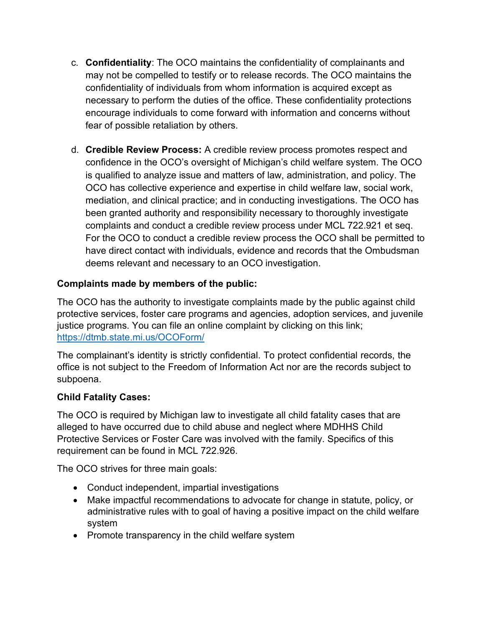- c. **Confidentiality**: The OCO maintains the confidentiality of complainants and may not be compelled to testify or to release records. The OCO maintains the confidentiality of individuals from whom information is acquired except as necessary to perform the duties of the office. These confidentiality protections encourage individuals to come forward with information and concerns without fear of possible retaliation by others.
- d. **Credible Review Process:** A credible review process promotes respect and confidence in the OCO's oversight of Michigan's child welfare system. The OCO is qualified to analyze issue and matters of law, administration, and policy. The OCO has collective experience and expertise in child welfare law, social work, mediation, and clinical practice; and in conducting investigations. The OCO has been granted authority and responsibility necessary to thoroughly investigate complaints and conduct a credible review process under MCL 722.921 et seq. For the OCO to conduct a credible review process the OCO shall be permitted to have direct contact with individuals, evidence and records that the Ombudsman deems relevant and necessary to an OCO investigation.

# **Complaints made by members of the public:**

The OCO has the authority to investigate complaints made by the public against child protective services, foster care programs and agencies, adoption services, and juvenile justice programs. You can file an online complaint by clicking on this link; <https://dtmb.state.mi.us/OCOForm/>

The complainant's identity is strictly confidential. To protect confidential records, the office is not subject to the Freedom of Information Act nor are the records subject to subpoena.

## **Child Fatality Cases:**

The OCO is required by Michigan law to investigate all child fatality cases that are alleged to have occurred due to child abuse and neglect where MDHHS Child Protective Services or Foster Care was involved with the family. Specifics of this requirement can be found in MCL 722.926.

The OCO strives for three main goals:

- Conduct independent, impartial investigations
- Make impactful recommendations to advocate for change in statute, policy, or administrative rules with to goal of having a positive impact on the child welfare system
- Promote transparency in the child welfare system